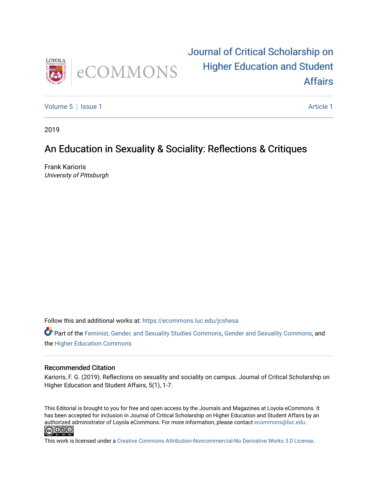

## [Journal of Critical Scholarship on](https://ecommons.luc.edu/jcshesa)  [Higher Education and Student](https://ecommons.luc.edu/jcshesa)  [Affairs](https://ecommons.luc.edu/jcshesa)

[Volume 5](https://ecommons.luc.edu/jcshesa/vol5) | [Issue 1](https://ecommons.luc.edu/jcshesa/vol5/iss1) Article 1

2019

### An Education in Sexuality & Sociality: Reflections & Critiques

Frank Karioris University of Pittsburgh

Follow this and additional works at: [https://ecommons.luc.edu/jcshesa](https://ecommons.luc.edu/jcshesa?utm_source=ecommons.luc.edu%2Fjcshesa%2Fvol5%2Fiss1%2F1&utm_medium=PDF&utm_campaign=PDFCoverPages) 

Part of the [Feminist, Gender, and Sexuality Studies Commons](http://network.bepress.com/hgg/discipline/559?utm_source=ecommons.luc.edu%2Fjcshesa%2Fvol5%2Fiss1%2F1&utm_medium=PDF&utm_campaign=PDFCoverPages), [Gender and Sexuality Commons,](http://network.bepress.com/hgg/discipline/420?utm_source=ecommons.luc.edu%2Fjcshesa%2Fvol5%2Fiss1%2F1&utm_medium=PDF&utm_campaign=PDFCoverPages) and the [Higher Education Commons](http://network.bepress.com/hgg/discipline/1245?utm_source=ecommons.luc.edu%2Fjcshesa%2Fvol5%2Fiss1%2F1&utm_medium=PDF&utm_campaign=PDFCoverPages)

#### Recommended Citation

Karioris, F. G. (2019). Reflections on sexuality and sociality on campus. Journal of Critical Scholarship on Higher Education and Student Affairs, 5(1), 1-7.

This Editorial is brought to you for free and open access by the Journals and Magazines at Loyola eCommons. It has been accepted for inclusion in Journal of Critical Scholarship on Higher Education and Student Affairs by an authorized administrator of Loyola eCommons. For more information, please contact [ecommons@luc.edu](mailto:ecommons@luc.edu). **@** 0ெ

This work is licensed under a [Creative Commons Attribution-Noncommercial-No Derivative Works 3.0 License.](https://creativecommons.org/licenses/by-nc-nd/3.0/)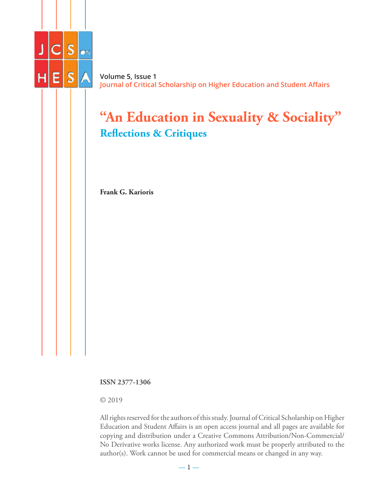

**Volume 5, Issue 1 Journal of Critical Scholarship on Higher Education and Student Affairs**

# **"An Education in Sexuality & Sociality" Reflections & Critiques**

**Frank G. Karioris**

**ISSN 2377-1306**

© 2019

All rights reserved for the authors of this study. Journal of Critical Scholarship on Higher Education and Student Affairs is an open access journal and all pages are available for copying and distribution under a Creative Commons Attribution/Non-Commercial/ No Derivative works license. Any authorized work must be properly attributed to the author(s). Work cannot be used for commercial means or changed in any way.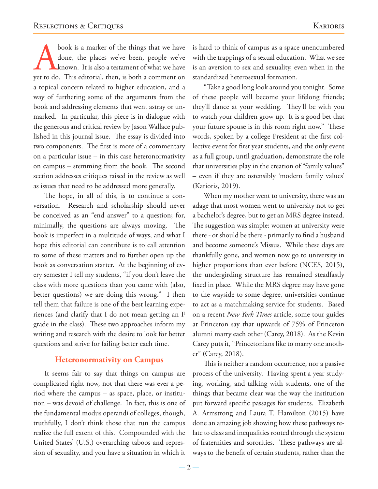book is a marker of the things that we have done, the places we've been, people we've known. It is also a testament of what we have yet to do. This editorial, then, is both a comment on a topical concern related to higher education, and a way of furthering some of the arguments from the book and addressing elements that went astray or unmarked. In particular, this piece is in dialogue with the generous and critical review by Jason Wallace published in this journal issue. The essay is divided into two components. The first is more of a commentary on a particular issue – in this case heteronormativity on campus – stemming from the book. The second section addresses critiques raised in the review as well as issues that need to be addressed more generally.

The hope, in all of this, is to continue a conversation. Research and scholarship should never be conceived as an "end answer" to a question; for, minimally, the questions are always moving. The book is imperfect in a multitude of ways, and what I hope this editorial can contribute is to call attention to some of these matters and to further open up the book as conversation starter. At the beginning of every semester I tell my students, "if you don't leave the class with more questions than you came with (also, better questions) we are doing this wrong." I then tell them that failure is one of the best learning experiences (and clarify that I do not mean getting an F grade in the class). These two approaches inform my writing and research with the desire to look for better questions and strive for failing better each time.

#### **Heteronormativity on Campus**

It seems fair to say that things on campus are complicated right now, not that there was ever a period where the campus – as space, place, or institution – was devoid of challenge. In fact, this is one of the fundamental modus operandi of colleges, though, truthfully, I don't think those that run the campus realize the full extent of this. Compounded with the United States' (U.S.) overarching taboos and repression of sexuality, and you have a situation in which it is hard to think of campus as a space unencumbered with the trappings of a sexual education. What we see is an aversion to sex and sexuality, even when in the standardized heterosexual formation.

"Take a good long look around you tonight. Some of these people will become your lifelong friends; they'll dance at your wedding. They'll be with you to watch your children grow up. It is a good bet that your future spouse is in this room right now." These words, spoken by a college President at the first collective event for first year students, and the only event as a full group, until graduation, demonstrate the role that universities play in the creation of "family values" – even if they are ostensibly 'modern family values' (Karioris, 2019).

When my mother went to university, there was an adage that most women went to university not to get a bachelor's degree, but to get an MRS degree instead. The suggestion was simple: women at university were there - or should be there - primarily to find a husband and become someone's Missus. While these days are thankfully gone, and women now go to university in higher proportions than ever before (NCES, 2015), the undergirding structure has remained steadfastly fixed in place. While the MRS degree may have gone to the wayside to some degree, universities continue to act as a matchmaking service for students. Based on a recent *New York Times* article, some tour guides at Princeton say that upwards of 75% of Princeton alumni marry each other (Carey, 2018). As the Kevin Carey puts it, "Princetonians like to marry one another" (Carey, 2018).

This is neither a random occurrence, nor a passive process of the university. Having spent a year studying, working, and talking with students, one of the things that became clear was the way the institution put forward specific passages for students. Elizabeth A. Armstrong and Laura T. Hamilton (2015) have done an amazing job showing how these pathways relate to class and inequalities rooted through the system of fraternities and sororities. These pathways are always to the benefit of certain students, rather than the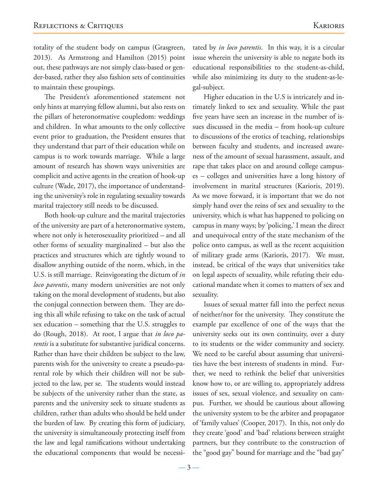totality of the student body on campus (Grasgreen, 2013). As Armstrong and Hamilton (2015) point out, these pathways are not simply class-based or gender-based, rather they also fashion sets of continuities to maintain these groupings.

The President's aforementioned statement not only hints at marrying fellow alumni, but also rests on the pillars of heteronormative coupledom: weddings and children. In what amounts to the only collective event prior to graduation, the President ensures that they understand that part of their education while on campus is to work towards marriage. While a large amount of research has shown ways universities are complicit and active agents in the creation of hook-up culture (Wade, 2017), the importance of understanding the university's role in regulating sexuality towards marital trajectory still needs to be discussed.

Both hook-up culture and the marital trajectories of the university are part of a heteronormative system, where not only is heterosexuality prioritized – and all other forms of sexuality marginalized – but also the practices and structures which are tightly wound to disallow anything outside of the norm, which, in the U.S. is still marriage. Reinvigorating the dictum of *in loco parentis*, many modern universities are not only taking on the moral development of students, but also the conjugal connection between them. They are doing this all while refusing to take on the task of actual sex education – something that the U.S. struggles to do (Rough, 2018). At root, I argue that *in loco parentis* is a substitute for substantive juridical concerns. Rather than have their children be subject to the law, parents wish for the university to create a pseudo-parental role by which their children will not be subjected to the law, per se. The students would instead be subjects of the university rather than the state, as parents and the university seek to situate students as children, rather than adults who should be held under the burden of law. By creating this form of judiciary, the university is simultaneously protecting itself from the law and legal ramifications without undertaking the educational components that would be necessi-

tated by *in loco parentis*. In this way, it is a circular issue wherein the university is able to negate both its educational responsibilities to the student-as-child, while also minimizing its duty to the student-as-legal-subject.

Higher education in the U.S is intricately and intimately linked to sex and sexuality. While the past five years have seen an increase in the number of issues discussed in the media – from hook-up culture to discussions of the erotics of teaching, relationships between faculty and students, and increased awareness of the amount of sexual harassment, assault, and rape that takes place on and around college campuses – colleges and universities have a long history of involvement in marital structures (Karioris, 2019). As we move forward, it is important that we do not simply hand over the reins of sex and sexuality to the university, which is what has happened to policing on campus in many ways; by 'policing,' I mean the direct and unequivocal entry of the state mechanism of the police onto campus, as well as the recent acquisition of military grade arms (Karioris, 2017). We must, instead, be critical of the ways that universities take on legal aspects of sexuality, while refuting their educational mandate when it comes to matters of sex and sexuality.

Issues of sexual matter fall into the perfect nexus of neither/nor for the university. They constitute the example par excellence of one of the ways that the university seeks out its own continuity, over a duty to its students or the wider community and society. We need to be careful about assuming that universities have the best interests of students in mind. Further, we need to rethink the belief that universities know how to, or are willing to, appropriately address issues of sex, sexual violence, and sexuality on campus. Further, we should be cautious about allowing the university system to be the arbiter and propagator of 'family values' (Cooper, 2017). In this, not only do they create 'good' and 'bad' relations between straight partners, but they contribute to the construction of the "good gay" bound for marriage and the "bad gay"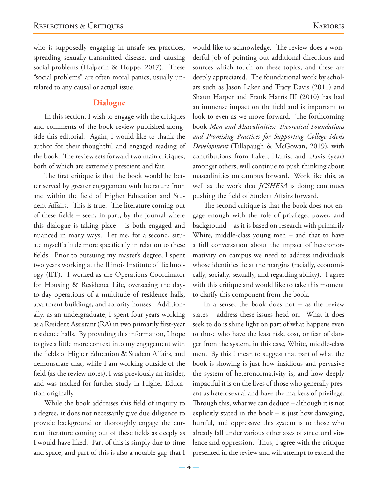who is supposedly engaging in unsafe sex practices, spreading sexually-transmitted disease, and causing social problems (Halperin & Hoppe, 2017). These "social problems" are often moral panics, usually unrelated to any causal or actual issue.

#### **Dialogue**

In this section, I wish to engage with the critiques and comments of the book review published alongside this editorial. Again, I would like to thank the author for their thoughtful and engaged reading of the book. The review sets forward two main critiques, both of which are extremely prescient and fair.

The first critique is that the book would be better served by greater engagement with literature from and within the field of Higher Education and Student Affairs. This is true. The literature coming out of these fields – seen, in part, by the journal where this dialogue is taking place – is both engaged and nuanced in many ways. Let me, for a second, situate myself a little more specifically in relation to these fields. Prior to pursuing my master's degree, I spent two years working at the Illinois Institute of Technology (IIT). I worked as the Operations Coordinator for Housing & Residence Life, overseeing the dayto-day operations of a multitude of residence halls, apartment buildings, and sorority houses. Additionally, as an undergraduate, I spent four years working as a Resident Assistant (RA) in two primarily first-year residence halls. By providing this information, I hope to give a little more context into my engagement with the fields of Higher Education & Student Affairs, and demonstrate that, while I am working outside of the field (as the review notes), I was previously an insider, and was tracked for further study in Higher Education originally.

While the book addresses this field of inquiry to a degree, it does not necessarily give due diligence to provide background or thoroughly engage the current literature coming out of these fields as deeply as I would have liked. Part of this is simply due to time and space, and part of this is also a notable gap that I

would like to acknowledge. The review does a wonderful job of pointing out additional directions and sources which touch on these topics, and these are deeply appreciated. The foundational work by scholars such as Jason Laker and Tracy Davis (2011) and Shaun Harper and Frank Harris III (2010) has had an immense impact on the field and is important to look to even as we move forward. The forthcoming book *Men and Masculinities: Theoretical Foundations and Promising Practices for Supporting College Men's Development* (Tillapaugh & McGowan, 2019), with contributions from Laker, Harris, and Davis (year) amongst others, will continue to push thinking about masculinities on campus forward. Work like this, as well as the work that *JCSHESA* is doing continues pushing the field of Student Affairs forward.

The second critique is that the book does not engage enough with the role of privilege, power, and background – as it is based on research with primarily White, middle-class young men – and that to have a full conversation about the impact of heteronormativity on campus we need to address individuals whose identities lie at the margins (racially, economically, socially, sexually, and regarding ability). I agree with this critique and would like to take this moment to clarify this component from the book.

In a sense, the book does not  $-$  as the review states – address these issues head on. What it does seek to do is shine light on part of what happens even to those who have the least risk, cost, or fear of danger from the system, in this case, White, middle-class men. By this I mean to suggest that part of what the book is showing is just how insidious and pervasive the system of heteronormativity is, and how deeply impactful it is on the lives of those who generally present as heterosexual and have the markers of privilege. Through this, what we can deduce – although it is not explicitly stated in the book – is just how damaging, hurtful, and oppressive this system is to those who already fall under various other axes of structural violence and oppression. Thus, I agree with the critique presented in the review and will attempt to extend the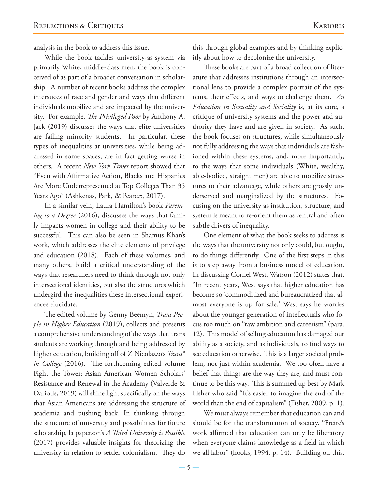analysis in the book to address this issue.

While the book tackles university-as-system via primarily White, middle-class men, the book is conceived of as part of a broader conversation in scholarship. A number of recent books address the complex interstices of race and gender and ways that different individuals mobilize and are impacted by the university. For example, *The Privileged Poor* by Anthony A. Jack (2019) discusses the ways that elite universities are failing minority students. In particular, these types of inequalities at universities, while being addressed in some spaces, are in fact getting worse in others. A recent *New York Times* report showed that "Even with Affirmative Action, Blacks and Hispanics Are More Underrepresented at Top Colleges Than 35 Years Ago" (Ashkenas, Park, & Pearce., 2017).

In a similar vein, Laura Hamilton's book *Parenting to a Degree* (2016), discusses the ways that family impacts women in college and their ability to be successful. This can also be seen in Shamus Khan's work, which addresses the elite elements of privilege and education (2018). Each of these volumes, and many others, build a critical understanding of the ways that researchers need to think through not only intersectional identities, but also the structures which undergird the inequalities these intersectional experiences elucidate.

The edited volume by Genny Beemyn, *Trans People in Higher Education* (2019), collects and presents a comprehensive understanding of the ways that trans students are working through and being addressed by higher education, building off of Z Nicolazzo's *Trans\* in College* (2016). The forthcoming edited volume Fight the Tower: Asian American Women Scholars' Resistance and Renewal in the Academy (Valverde & Dariotis, 2019) will shine light specifically on the ways that Asian Americans are addressing the structure of academia and pushing back. In thinking through the structure of university and possibilities for future scholarship, la paperson's *A Third University is Possible*  (2017) provides valuable insights for theorizing the university in relation to settler colonialism. They do

this through global examples and by thinking explicitly about how to decolonize the university.

These books are part of a broad collection of literature that addresses institutions through an intersectional lens to provide a complex portrait of the systems, their effects, and ways to challenge them. *An Education in Sexuality and Sociality* is, at its core, a critique of university systems and the power and authority they have and are given in society. As such, the book focuses on structures, while simultaneously not fully addressing the ways that individuals are fashioned within these systems, and, more importantly, to the ways that some individuals (White, wealthy, able-bodied, straight men) are able to mobilize structures to their advantage, while others are grossly underserved and marginalized by the structures. Focusing on the university as institution, structure, and system is meant to re-orient them as central and often subtle drivers of inequality.

One element of what the book seeks to address is the ways that the university not only could, but ought, to do things differently. One of the first steps in this is to step away from a business model of education. In discussing Cornel West, Watson (2012) states that, "In recent years, West says that higher education has become so 'commoditized and bureaucratized that almost everyone is up for sale.' West says he worries about the younger generation of intellectuals who focus too much on "raw ambition and careerism" (para. 12). This model of selling education has damaged our ability as a society, and as individuals, to find ways to see education otherwise. This is a larger societal problem, not just within academia. We too often have a belief that things are the way they are, and must continue to be this way. This is summed up best by Mark Fisher who said "It's easier to imagine the end of the world than the end of capitalism" (Fisher, 2009, p. 1).

We must always remember that education can and should be for the transformation of society. "Freire's work affirmed that education can only be liberatory when everyone claims knowledge as a field in which we all labor" (hooks, 1994, p. 14). Building on this,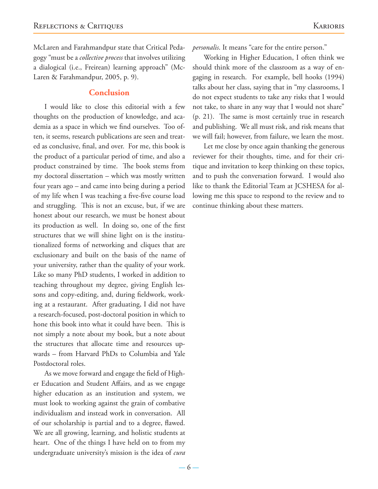Laren & Farahmandpur, 2005, p. 9).

#### **Conclusion**

I would like to close this editorial with a few thoughts on the production of knowledge, and academia as a space in which we find ourselves. Too often, it seems, research publications are seen and treated as conclusive, final, and over. For me, this book is the product of a particular period of time, and also a product constrained by time. The book stems from my doctoral dissertation – which was mostly written four years ago – and came into being during a period of my life when I was teaching a five-five course load and struggling. This is not an excuse, but, if we are honest about our research, we must be honest about its production as well. In doing so, one of the first structures that we will shine light on is the institutionalized forms of networking and cliques that are exclusionary and built on the basis of the name of your university, rather than the quality of your work. Like so many PhD students, I worked in addition to teaching throughout my degree, giving English lessons and copy-editing, and, during fieldwork, working at a restaurant. After graduating, I did not have a research-focused, post-doctoral position in which to hone this book into what it could have been. This is not simply a note about my book, but a note about the structures that allocate time and resources upwards – from Harvard PhDs to Columbia and Yale Postdoctoral roles.

As we move forward and engage the field of Higher Education and Student Affairs, and as we engage higher education as an institution and system, we must look to working against the grain of combative individualism and instead work in conversation. All of our scholarship is partial and to a degree, flawed. We are all growing, learning, and holistic students at heart. One of the things I have held on to from my undergraduate university's mission is the idea of *cura* 

*personalis*. It means "care for the entire person."

Working in Higher Education, I often think we should think more of the classroom as a way of engaging in research. For example, bell hooks (1994) talks about her class, saying that in "my classrooms, I do not expect students to take any risks that I would not take, to share in any way that I would not share" (p. 21). The same is most certainly true in research and publishing. We all must risk, and risk means that we will fail; however, from failure, we learn the most.

Let me close by once again thanking the generous reviewer for their thoughts, time, and for their critique and invitation to keep thinking on these topics, and to push the conversation forward. I would also like to thank the Editorial Team at JCSHESA for allowing me this space to respond to the review and to continue thinking about these matters.